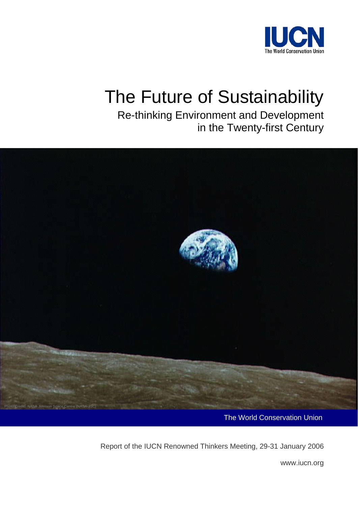

# The Future of Sustainability

Re-thinking Environment and Development in the Twenty-first Century



Report of the IUCN Renowned Thinkers Meeting, 29-31 January 2006

www.iucn.org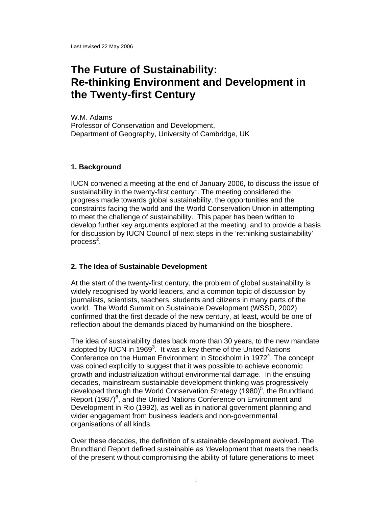# **The Future of Sustainability: Re-thinking Environment and Development in the Twenty-first Century**

W.M. Adams Professor of Conservation and Development, Department of Geography, University of Cambridge, UK

# **1. Background**

IUCN convened a meeting at the end of January 2006, to discuss the issue of sustainability in the twenty-first century<sup>1</sup>. The meeting considered the progress made towards global sustainability, the opportunities and the constraints facing the world and the World Conservation Union in attempting to meet the challenge of sustainability. This paper has been written to develop further key arguments explored at the meeting, and to provide a basis for discussion by IUCN Council of next steps in the 'rethinking sustainability' process<sup>2</sup>.

# **2. The Idea of Sustainable Development**

At the start of the twenty-first century, the problem of global sustainability is widely recognised by world leaders, and a common topic of discussion by journalists, scientists, teachers, students and citizens in many parts of the world. The World Summit on Sustainable Development (WSSD, 2002) confirmed that the first decade of the new century, at least, would be one of reflection about the demands placed by humankind on the biosphere.

The idea of sustainability dates back more than 30 years, to the new mandate adopted by IUCN in 1969<sup>3</sup>. It was a key theme of the United Nations Conference on the Human Environment in Stockholm in 1972<sup>4</sup>. The concept was coined explicitly to suggest that it was possible to achieve economic growth and industrialization without environmental damage. In the ensuing decades, mainstream sustainable development thinking was progressively developed through the World Conservation Strategy (1980)<sup>5</sup>, the Brundtland Report (1987)<sup>6</sup>, and the United Nations Conference on Environment and Development in Rio (1992), as well as in national government planning and wider engagement from business leaders and non-governmental organisations of all kinds.

Over these decades, the definition of sustainable development evolved. The Brundtland Report defined sustainable as 'development that meets the needs of the present without compromising the ability of future generations to meet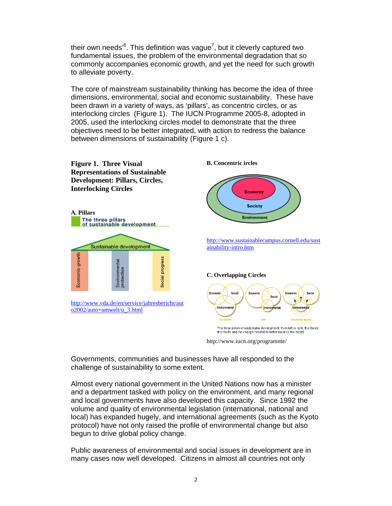their own needs'<sup>6</sup>. This definition was vague<sup>7</sup>, but it cleverly captured two fundamental issues, the problem of the environmental degradation that so commonly accompanies economic growth, and yet the need for such growth to alleviate poverty.

The core of mainstream sustainability thinking has become the idea of three dimensions, environmental, social and economic sustainability. These have been drawn in a variety of ways, as 'pillars', as concentric circles, or as interlocking circles (Figure 1). The IUCN Programme 2005-8, adopted in 2005, used the interlocking circles model to demonstrate that the three objectives need to be better integrated, with action to redress the balance between dimensions of sustainability (Figure 1 c).



http://www.iucn.org/programme/

Governments, communities and businesses have all responded to the challenge of sustainability to some extent.

Almost every national government in the United Nations now has a minister and a department tasked with policy on the environment, and many regional and local governments have also developed this capacity. Since 1992 the volume and quality of environmental legislation (international, national and local) has expanded hugely, and international agreements (such as the Kyoto protocol) have not only raised the profile of environmental change but also begun to drive global policy change.

Public awareness of environmental and social issues in development are in many cases now well developed. Citizens in almost all countries not only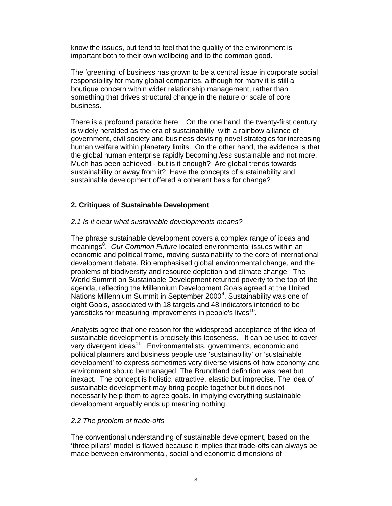know the issues, but tend to feel that the quality of the environment is important both to their own wellbeing and to the common good.

The 'greening' of business has grown to be a central issue in corporate social responsibility for many global companies, although for many it is still a boutique concern within wider relationship management, rather than something that drives structural change in the nature or scale of core business.

There is a profound paradox here. On the one hand, the twenty-first century is widely heralded as the era of sustainability, with a rainbow alliance of government, civil society and business devising novel strategies for increasing human welfare within planetary limits. On the other hand, the evidence is that the global human enterprise rapidly becoming *less* sustainable and not more. Much has been achieved - but is it enough? Are global trends towards sustainability or away from it? Have the concepts of sustainability and sustainable development offered a coherent basis for change?

# **2. Critiques of Sustainable Development**

# *2.1 Is it clear what sustainable developments means?*

The phrase sustainable development covers a complex range of ideas and meanings<sup>8</sup>. Our Common Future located environmental issues within an economic and political frame, moving sustainability to the core of international development debate. Rio emphasised global environmental change, and the problems of biodiversity and resource depletion and climate change. The World Summit on Sustainable Development returned poverty to the top of the agenda, reflecting the Millennium Development Goals agreed at the United Nations Millennium Summit in September 2000<sup>9</sup>. Sustainability was one of eight Goals, associated with 18 targets and 48 indicators intended to be yardsticks for measuring improvements in people's lives<sup>10</sup>.

Analysts agree that one reason for the widespread acceptance of the idea of sustainable development is precisely this looseness. It can be used to cover very divergent ideas<sup>11</sup>. Environmentalists, governments, economic and political planners and business people use 'sustainability' or 'sustainable development' to express sometimes very diverse visions of how economy and environment should be managed. The Brundtland definition was neat but inexact. The concept is holistic, attractive, elastic but imprecise. The idea of sustainable development may bring people together but it does not necessarily help them to agree goals. In implying everything sustainable development arguably ends up meaning nothing.

# *2.2 The problem of trade-offs*

The conventional understanding of sustainable development, based on the 'three pillars' model is flawed because it implies that trade-offs can always be made between environmental, social and economic dimensions of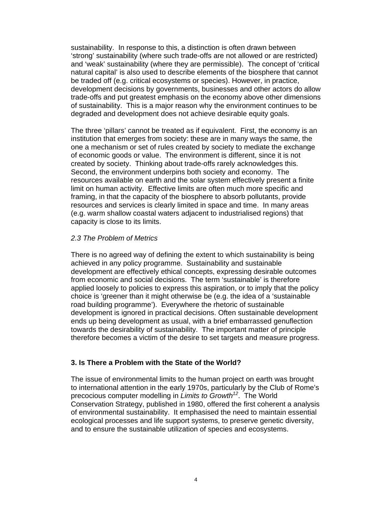sustainability. In response to this, a distinction is often drawn between 'strong' sustainability (where such trade-offs are not allowed or are restricted) and 'weak' sustainability (where they are permissible). The concept of 'critical natural capital' is also used to describe elements of the biosphere that cannot be traded off (e.g. critical ecosystems or species). However, in practice, development decisions by governments, businesses and other actors do allow trade-offs and put greatest emphasis on the economy above other dimensions of sustainability. This is a major reason why the environment continues to be degraded and development does not achieve desirable equity goals.

The three 'pillars' cannot be treated as if equivalent. First, the economy is an institution that emerges from society: these are in many ways the same, the one a mechanism or set of rules created by society to mediate the exchange of economic goods or value. The environment is different, since it is not created by society. Thinking about trade-offs rarely acknowledges this. Second, the environment underpins both society and economy. The resources available on earth and the solar system effectively present a finite limit on human activity. Effective limits are often much more specific and framing, in that the capacity of the biosphere to absorb pollutants, provide resources and services is clearly limited in space and time. In many areas (e.g. warm shallow coastal waters adjacent to industrialised regions) that capacity is close to its limits.

# *2.3 The Problem of Metrics*

There is no agreed way of defining the extent to which sustainability is being achieved in any policy programme. Sustainability and sustainable development are effectively ethical concepts, expressing desirable outcomes from economic and social decisions. The term 'sustainable' is therefore applied loosely to policies to express this aspiration, or to imply that the policy choice is 'greener than it might otherwise be (e.g. the idea of a 'sustainable road building programme'). Everywhere the rhetoric of sustainable development is ignored in practical decisions. Often sustainable development ends up being development as usual, with a brief embarrassed genuflection towards the desirability of sustainability. The important matter of principle therefore becomes a victim of the desire to set targets and measure progress.

# **3. Is There a Problem with the State of the World?**

The issue of environmental limits to the human project on earth was brought to international attention in the early 1970s, particularly by the Club of Rome's precocious computer modelling in *Limits to Growth12*. The World Conservation Strategy, published in 1980, offered the first coherent a analysis of environmental sustainability. It emphasised the need to maintain essential ecological processes and life support systems, to preserve genetic diversity, and to ensure the sustainable utilization of species and ecosystems.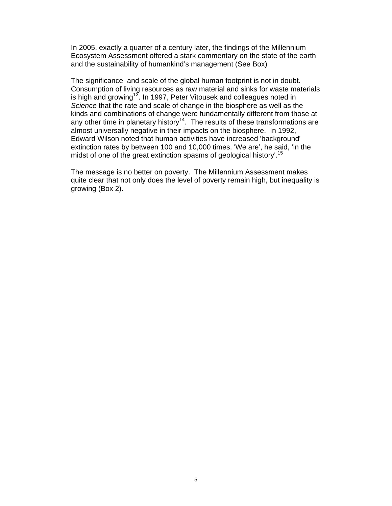In 2005, exactly a quarter of a century later, the findings of the Millennium Ecosystem Assessment offered a stark commentary on the state of the earth and the sustainability of humankind's management (See Box)

The significance and scale of the global human footprint is not in doubt. Consumption of living resources as raw material and sinks for waste materials is high and growing<sup>13</sup>. In 1997, Peter Vitousek and colleagues noted in *Science* that the rate and scale of change in the biosphere as well as the kinds and combinations of change were fundamentally different from those at any other time in planetary history<sup>14</sup>. The results of these transformations are almost universally negative in their impacts on the biosphere. In 1992, Edward Wilson noted that human activities have increased 'background' extinction rates by between 100 and 10,000 times. 'We are', he said, 'in the midst of one of the great extinction spasms of geological history'.<sup>15</sup>

The message is no better on poverty. The Millennium Assessment makes quite clear that not only does the level of poverty remain high, but inequality is growing (Box 2).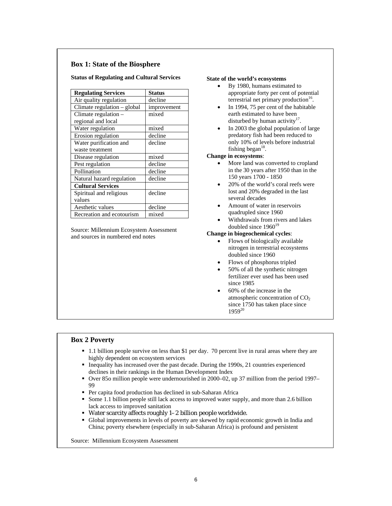#### **Box 1: State of the Biosphere**

#### **Status of Regulating and Cultural Services**

| <b>Regulating Services</b>    | <b>Status</b> |
|-------------------------------|---------------|
| Air quality regulation        | decline       |
| Climate regulation $-$ global | improvement   |
| Climate regulation $-$        | mixed         |
| regional and local            |               |
| Water regulation              | mixed         |
| Erosion regulation            | decline       |
| Water purification and        | decline       |
| waste treatment               |               |
| Disease regulation            | mixed         |
| Pest regulation               | decline       |
| Pollination                   | decline       |
| Natural hazard regulation     | decline       |
| <b>Cultural Services</b>      |               |
| Spiritual and religious       | decline       |
| values                        |               |
| Aesthetic values              | decline       |
| Recreation and ecotourism     | mixed         |

Source: Millennium Ecosystem Assessment and sources in numbered end notes

#### **State of the world's ecosystems**

- By 1980, humans estimated to appropriate forty per cent of potential terrestrial net primary production<sup>16</sup>.
- In 1994, 75 per cent of the habitable earth estimated to have been disturbed by human activity<sup>17</sup>.
- In 2003 the global population of large predatory fish had been reduced to only 10% of levels before industrial fishing began $^{18}$ .

#### **Change in ecosystems**:

- More land was converted to cropland in the 30 years after 1950 than in the 150 years 1700 - 1850
- 20% of the world's coral reefs were lost and 20% degraded in the last several decades
- Amount of water in reservoirs quadrupled since 1960
- Withdrawals from rivers and lakes doubled since  $1960^{19}$

#### **Change in biogeochemical cycles**:

- Flows of biologically available nitrogen in terrestrial ecosystems doubled since 1960
- Flows of phosphorus tripled
- 50% of all the synthetic nitrogen fertilizer ever used has been used since 1985
- 60% of the increase in the atmospheric concentration of CO<sub>2</sub> since 1750 has taken place since 195920

#### **Box 2 Poverty**

- 1.1 billion people survive on less than \$1 per day. 70 percent live in rural areas where they are highly dependent on ecosystem services
- Inequality has increased over the past decade. During the 1990s, 21 countries experienced declines in their rankings in the Human Development Index
- Over 850 million people were undernourished in 2000–02, up 37 million from the period 1997– 99
- Per capita food production has declined in sub-Saharan Africa
- Some 1.1 billion people still lack access to improved water supply, and more than 2.6 billion lack access to improved sanitation
- Water scarcity affects roughly 1–2 billion people worldwide.
- Global improvements in levels of poverty are skewed by rapid economic growth in India and China; poverty elsewhere (especially in sub-Saharan Africa) is profound and persistent

Source: Millennium Ecosystem Assessment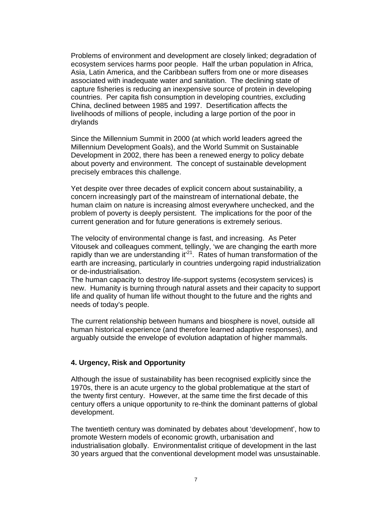Problems of environment and development are closely linked; degradation of ecosystem services harms poor people. Half the urban population in Africa, Asia, Latin America, and the Caribbean suffers from one or more diseases associated with inadequate water and sanitation. The declining state of capture fisheries is reducing an inexpensive source of protein in developing countries. Per capita fish consumption in developing countries, excluding China, declined between 1985 and 1997. Desertification affects the livelihoods of millions of people, including a large portion of the poor in drylands

Since the Millennium Summit in 2000 (at which world leaders agreed the Millennium Development Goals), and the World Summit on Sustainable Development in 2002, there has been a renewed energy to policy debate about poverty and environment. The concept of sustainable development precisely embraces this challenge.

Yet despite over three decades of explicit concern about sustainability, a concern increasingly part of the mainstream of international debate, the human claim on nature is increasing almost everywhere unchecked, and the problem of poverty is deeply persistent. The implications for the poor of the current generation and for future generations is extremely serious.

The velocity of environmental change is fast, and increasing. As Peter Vitousek and colleagues comment, tellingly, 'we are changing the earth more rapidly than we are understanding  $it^{21}$ . Rates of human transformation of the earth are increasing, particularly in countries undergoing rapid industrialization or de-industrialisation.

The human capacity to destroy life-support systems (ecosystem services) is new. Humanity is burning through natural assets and their capacity to support life and quality of human life without thought to the future and the rights and needs of today's people.

The current relationship between humans and biosphere is novel, outside all human historical experience (and therefore learned adaptive responses), and arguably outside the envelope of evolution adaptation of higher mammals.

#### **4. Urgency, Risk and Opportunity**

Although the issue of sustainability has been recognised explicitly since the 1970s, there is an acute urgency to the global problematique at the start of the twenty first century. However, at the same time the first decade of this century offers a unique opportunity to re-think the dominant patterns of global development.

The twentieth century was dominated by debates about 'development', how to promote Western models of economic growth, urbanisation and industrialisation globally. Environmentalist critique of development in the last 30 years argued that the conventional development model was unsustainable.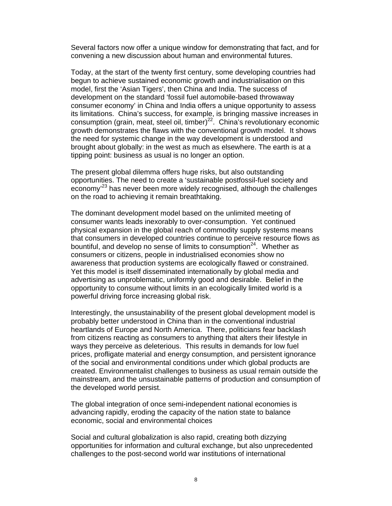Several factors now offer a unique window for demonstrating that fact, and for convening a new discussion about human and environmental futures.

Today, at the start of the twenty first century, some developing countries had begun to achieve sustained economic growth and industrialisation on this model, first the 'Asian Tigers', then China and India. The success of development on the standard 'fossil fuel automobile-based throwaway consumer economy' in China and India offers a unique opportunity to assess its limitations. China's success, for example, is bringing massive increases in consumption (grain, meat, steel oil, timber)<sup>22</sup>. China's revolutionary economic growth demonstrates the flaws with the conventional growth model. It shows the need for systemic change in the way development is understood and brought about globally: in the west as much as elsewhere. The earth is at a tipping point: business as usual is no longer an option.

The present global dilemma offers huge risks, but also outstanding opportunities. The need to create a 'sustainable postfossil-fuel society and economy<sup>23</sup> has never been more widely recognised, although the challenges on the road to achieving it remain breathtaking.

The dominant development model based on the unlimited meeting of consumer wants leads inexorably to over-consumption. Yet continued physical expansion in the global reach of commodity supply systems means that consumers in developed countries continue to perceive resource flows as bountiful, and develop no sense of limits to consumption<sup>24</sup>. Whether as consumers or citizens, people in industrialised economies show no awareness that production systems are ecologically flawed or constrained. Yet this model is itself disseminated internationally by global media and advertising as unproblematic, uniformly good and desirable. Belief in the opportunity to consume without limits in an ecologically limited world is a powerful driving force increasing global risk.

Interestingly, the unsustainability of the present global development model is probably better understood in China than in the conventional industrial heartlands of Europe and North America. There, politicians fear backlash from citizens reacting as consumers to anything that alters their lifestyle in ways they perceive as deleterious. This results in demands for low fuel prices, profligate material and energy consumption, and persistent ignorance of the social and environmental conditions under which global products are created. Environmentalist challenges to business as usual remain outside the mainstream, and the unsustainable patterns of production and consumption of the developed world persist.

The global integration of once semi-independent national economies is advancing rapidly, eroding the capacity of the nation state to balance economic, social and environmental choices

Social and cultural globalization is also rapid, creating both dizzying opportunities for information and cultural exchange, but also unprecedented challenges to the post-second world war institutions of international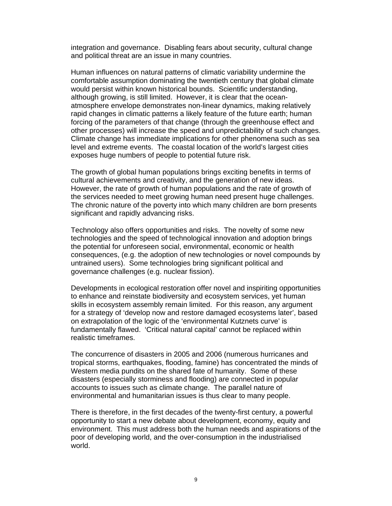integration and governance. Disabling fears about security, cultural change and political threat are an issue in many countries.

Human influences on natural patterns of climatic variability undermine the comfortable assumption dominating the twentieth century that global climate would persist within known historical bounds. Scientific understanding, although growing, is still limited. However, it is clear that the oceanatmosphere envelope demonstrates non-linear dynamics, making relatively rapid changes in climatic patterns a likely feature of the future earth; human forcing of the parameters of that change (through the greenhouse effect and other processes) will increase the speed and unpredictability of such changes. Climate change has immediate implications for other phenomena such as sea level and extreme events. The coastal location of the world's largest cities exposes huge numbers of people to potential future risk.

The growth of global human populations brings exciting benefits in terms of cultural achievements and creativity, and the generation of new ideas. However, the rate of growth of human populations and the rate of growth of the services needed to meet growing human need present huge challenges. The chronic nature of the poverty into which many children are born presents significant and rapidly advancing risks.

Technology also offers opportunities and risks. The novelty of some new technologies and the speed of technological innovation and adoption brings the potential for unforeseen social, environmental, economic or health consequences, (e.g. the adoption of new technologies or novel compounds by untrained users). Some technologies bring significant political and governance challenges (e.g. nuclear fission).

Developments in ecological restoration offer novel and inspiriting opportunities to enhance and reinstate biodiversity and ecosystem services, yet human skills in ecosystem assembly remain limited. For this reason, any argument for a strategy of 'develop now and restore damaged ecosystems later', based on extrapolation of the logic of the 'environmental Kutznets curve' is fundamentally flawed. 'Critical natural capital' cannot be replaced within realistic timeframes.

The concurrence of disasters in 2005 and 2006 (numerous hurricanes and tropical storms, earthquakes, flooding, famine) has concentrated the minds of Western media pundits on the shared fate of humanity. Some of these disasters (especially storminess and flooding) are connected in popular accounts to issues such as climate change. The parallel nature of environmental and humanitarian issues is thus clear to many people.

There is therefore, in the first decades of the twenty-first century, a powerful opportunity to start a new debate about development, economy, equity and environment. This must address both the human needs and aspirations of the poor of developing world, and the over-consumption in the industrialised world.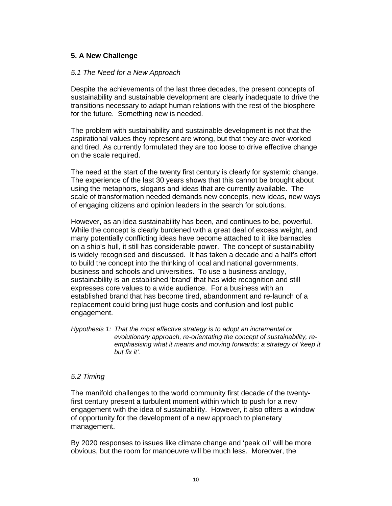# **5. A New Challenge**

# *5.1 The Need for a New Approach*

Despite the achievements of the last three decades, the present concepts of sustainability and sustainable development are clearly inadequate to drive the transitions necessary to adapt human relations with the rest of the biosphere for the future. Something new is needed.

The problem with sustainability and sustainable development is not that the aspirational values they represent are wrong, but that they are over-worked and tired, As currently formulated they are too loose to drive effective change on the scale required.

The need at the start of the twenty first century is clearly for systemic change. The experience of the last 30 years shows that this cannot be brought about using the metaphors, slogans and ideas that are currently available. The scale of transformation needed demands new concepts, new ideas, new ways of engaging citizens and opinion leaders in the search for solutions.

However, as an idea sustainability has been, and continues to be, powerful. While the concept is clearly burdened with a great deal of excess weight, and many potentially conflicting ideas have become attached to it like barnacles on a ship's hull, it still has considerable power. The concept of sustainability is widely recognised and discussed. It has taken a decade and a half's effort to build the concept into the thinking of local and national governments, business and schools and universities. To use a business analogy, sustainability is an established 'brand' that has wide recognition and still expresses core values to a wide audience. For a business with an established brand that has become tired, abandonment and re-launch of a replacement could bring just huge costs and confusion and lost public engagement.

*Hypothesis 1: That the most effective strategy is to adopt an incremental or evolutionary approach, re-orientating the concept of sustainability, reemphasising what it means and moving forwards; a strategy of 'keep it but fix it'.* 

#### *5.2 Timing*

The manifold challenges to the world community first decade of the twentyfirst century present a turbulent moment within which to push for a new engagement with the idea of sustainability. However, it also offers a window of opportunity for the development of a new approach to planetary management.

By 2020 responses to issues like climate change and 'peak oil' will be more obvious, but the room for manoeuvre will be much less. Moreover, the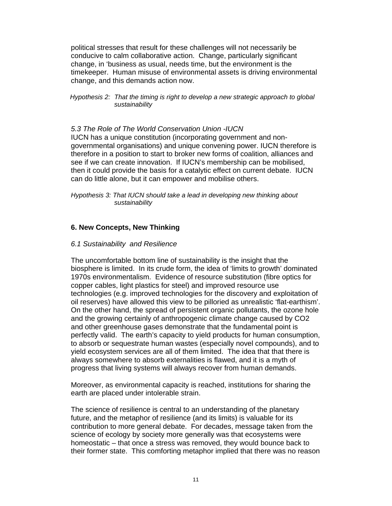political stresses that result for these challenges will not necessarily be conducive to calm collaborative action. Change, particularly significant change, in 'business as usual, needs time, but the environment is the timekeeper. Human misuse of environmental assets is driving environmental change, and this demands action now.

 *Hypothesis 2: That the timing is right to develop a new strategic approach to global sustainability* 

# *5.3 The Role of The World Conservation Union -IUCN*

IUCN has a unique constitution (incorporating government and nongovernmental organisations) and unique convening power. IUCN therefore is therefore in a position to start to broker new forms of coalition, alliances and see if we can create innovation. If IUCN's membership can be mobilised, then it could provide the basis for a catalytic effect on current debate. IUCN can do little alone, but it can empower and mobilise others.

*Hypothesis 3: That IUCN should take a lead in developing new thinking about sustainability* 

# **6. New Concepts, New Thinking**

#### *6.1 Sustainability and Resilience*

The uncomfortable bottom line of sustainability is the insight that the biosphere is limited. In its crude form, the idea of 'limits to growth' dominated 1970s environmentalism. Evidence of resource substitution (fibre optics for copper cables, light plastics for steel) and improved resource use technologies (e.g. improved technologies for the discovery and exploitation of oil reserves) have allowed this view to be pilloried as unrealistic 'flat-earthism'. On the other hand, the spread of persistent organic pollutants, the ozone hole and the growing certainly of anthropogenic climate change caused by CO2 and other greenhouse gases demonstrate that the fundamental point is perfectly valid. The earth's capacity to yield products for human consumption, to absorb or sequestrate human wastes (especially novel compounds), and to yield ecosystem services are all of them limited. The idea that that there is always somewhere to absorb externalities is flawed, and it is a myth of progress that living systems will always recover from human demands.

Moreover, as environmental capacity is reached, institutions for sharing the earth are placed under intolerable strain.

The science of resilience is central to an understanding of the planetary future, and the metaphor of resilience (and its limits) is valuable for its contribution to more general debate. For decades, message taken from the science of ecology by society more generally was that ecosystems were homeostatic – that once a stress was removed, they would bounce back to their former state. This comforting metaphor implied that there was no reason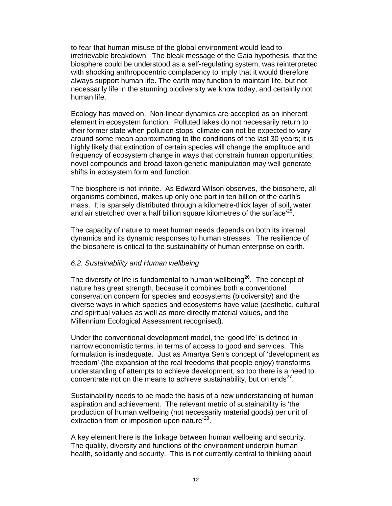to fear that human misuse of the global environment would lead to irretrievable breakdown. The bleak message of the Gaia hypothesis, that the biosphere could be understood as a self-regulating system, was reinterpreted with shocking anthropocentric complacency to imply that it would therefore always support human life. The earth may function to maintain life, but not necessarily life in the stunning biodiversity we know today, and certainly not human life.

Ecology has moved on. Non-linear dynamics are accepted as an inherent element in ecosystem function. Polluted lakes do not necessarily return to their former state when pollution stops; climate can not be expected to vary around some mean approximating to the conditions of the last 30 years; it is highly likely that extinction of certain species will change the amplitude and frequency of ecosystem change in ways that constrain human opportunities; novel compounds and broad-taxon genetic manipulation may well generate shifts in ecosystem form and function.

The biosphere is not infinite. As Edward Wilson observes, 'the biosphere, all organisms combined, makes up only one part in ten billion of the earth's mass. It is sparsely distributed through a kilometre-thick layer of soil, water and air stretched over a half billion square kilometres of the surface<sup>125</sup>.

The capacity of nature to meet human needs depends on both its internal dynamics and its dynamic responses to human stresses. The resilience of the biosphere is critical to the sustainability of human enterprise on earth.

#### *6.2. Sustainability and Human wellbeing*

The diversity of life is fundamental to human wellbeing<sup>26</sup>. The concept of nature has great strength, because it combines both a conventional conservation concern for species and ecosystems (biodiversity) and the diverse ways in which species and ecosystems have value (aesthetic, cultural and spiritual values as well as more directly material values, and the Millennium Ecological Assessment recognised).

Under the conventional development model, the 'good life' is defined in narrow economistic terms, in terms of access to good and services. This formulation is inadequate. Just as Amartya Sen's concept of 'development as freedom' (the expansion of the real freedoms that people enjoy) transforms understanding of attempts to achieve development, so too there is a need to concentrate not on the means to achieve sustainability, but on ends $27$ .

Sustainability needs to be made the basis of a new understanding of human aspiration and achievement. The relevant metric of sustainability is 'the production of human wellbeing (not necessarily material goods) per unit of extraction from or imposition upon nature<sup>'28</sup>.

A key element here is the linkage between human wellbeing and security. The quality, diversity and functions of the environment underpin human health, solidarity and security. This is not currently central to thinking about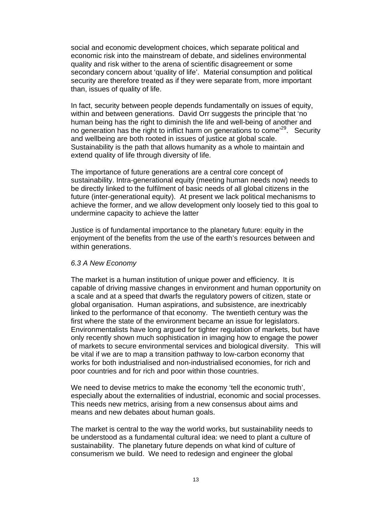social and economic development choices, which separate political and economic risk into the mainstream of debate, and sidelines environmental quality and risk wither to the arena of scientific disagreement or some secondary concern about 'quality of life'. Material consumption and political security are therefore treated as if they were separate from, more important than, issues of quality of life.

In fact, security between people depends fundamentally on issues of equity, within and between generations. David Orr suggests the principle that 'no human being has the right to diminish the life and well-being of another and no generation has the right to inflict harm on generations to come<sup>29</sup>. Security and wellbeing are both rooted in issues of justice at global scale. Sustainability is the path that allows humanity as a whole to maintain and extend quality of life through diversity of life.

The importance of future generations are a central core concept of sustainability. Intra-generational equity (meeting human needs now) needs to be directly linked to the fulfilment of basic needs of all global citizens in the future (inter-generational equity). At present we lack political mechanisms to achieve the former, and we allow development only loosely tied to this goal to undermine capacity to achieve the latter

Justice is of fundamental importance to the planetary future: equity in the enjoyment of the benefits from the use of the earth's resources between and within generations.

#### *6.3 A New Economy*

The market is a human institution of unique power and efficiency. It is capable of driving massive changes in environment and human opportunity on a scale and at a speed that dwarfs the regulatory powers of citizen, state or global organisation. Human aspirations, and subsistence, are inextricably linked to the performance of that economy. The twentieth century was the first where the state of the environment became an issue for legislators. Environmentalists have long argued for tighter regulation of markets, but have only recently shown much sophistication in imaging how to engage the power of markets to secure environmental services and biological diversity. This will be vital if we are to map a transition pathway to low-carbon economy that works for both industrialised and non-industrialised economies, for rich and poor countries and for rich and poor within those countries.

We need to devise metrics to make the economy 'tell the economic truth', especially about the externalities of industrial, economic and social processes. This needs new metrics, arising from a new consensus about aims and means and new debates about human goals.

The market is central to the way the world works, but sustainability needs to be understood as a fundamental cultural idea: we need to plant a culture of sustainability. The planetary future depends on what kind of culture of consumerism we build. We need to redesign and engineer the global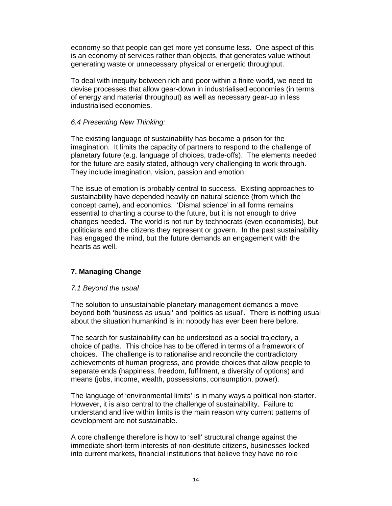economy so that people can get more yet consume less. One aspect of this is an economy of services rather than objects, that generates value without generating waste or unnecessary physical or energetic throughput.

To deal with inequity between rich and poor within a finite world, we need to devise processes that allow gear-down in industrialised economies (in terms of energy and material throughput) as well as necessary gear-up in less industrialised economies.

# *6.4 Presenting New Thinking:*

The existing language of sustainability has become a prison for the imagination. It limits the capacity of partners to respond to the challenge of planetary future (e.g. language of choices, trade-offs). The elements needed for the future are easily stated, although very challenging to work through. They include imagination, vision, passion and emotion.

The issue of emotion is probably central to success. Existing approaches to sustainability have depended heavily on natural science (from which the concept came), and economics. 'Dismal science' in all forms remains essential to charting a course to the future, but it is not enough to drive changes needed. The world is not run by technocrats (even economists), but politicians and the citizens they represent or govern. In the past sustainability has engaged the mind, but the future demands an engagement with the hearts as well.

# **7. Managing Change**

#### *7.1 Beyond the usual*

The solution to unsustainable planetary management demands a move beyond both 'business as usual' and 'politics as usual'. There is nothing usual about the situation humankind is in: nobody has ever been here before.

The search for sustainability can be understood as a social trajectory, a choice of paths. This choice has to be offered in terms of a framework of choices. The challenge is to rationalise and reconcile the contradictory achievements of human progress, and provide choices that allow people to separate ends (happiness, freedom, fulfilment, a diversity of options) and means (jobs, income, wealth, possessions, consumption, power).

The language of 'environmental limits' is in many ways a political non-starter. However, it is also central to the challenge of sustainability. Failure to understand and live within limits is the main reason why current patterns of development are not sustainable.

A core challenge therefore is how to 'sell' structural change against the immediate short-term interests of non-destitute citizens, businesses locked into current markets, financial institutions that believe they have no role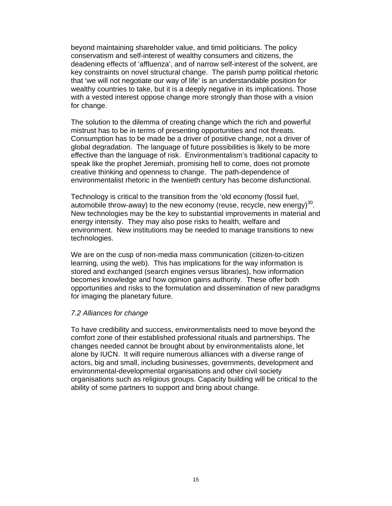beyond maintaining shareholder value, and timid politicians. The policy conservatism and self-interest of wealthy consumers and citizens, the deadening effects of 'affluenza', and of narrow self-interest of the solvent, are key constraints on novel structural change. The parish pump political rhetoric that 'we will not negotiate our way of life' is an understandable position for wealthy countries to take, but it is a deeply negative in its implications. Those with a vested interest oppose change more strongly than those with a vision for change.

The solution to the dilemma of creating change which the rich and powerful mistrust has to be in terms of presenting opportunities and not threats. Consumption has to be made be a driver of positive change, not a driver of global degradation. The language of future possibilities is likely to be more effective than the language of risk. Environmentalism's traditional capacity to speak like the prophet Jeremiah, promising hell to come, does not promote creative thinking and openness to change. The path-dependence of environmentalist rhetoric in the twentieth century has become disfunctional.

Technology is critical to the transition from the 'old economy (fossil fuel, automobile throw-away) to the new economy (reuse, recycle, new energy) $30$ . New technologies may be the key to substantial improvements in material and energy intensity. They may also pose risks to health, welfare and environment. New institutions may be needed to manage transitions to new technologies.

We are on the cusp of non-media mass communication (citizen-to-citizen learning, using the web). This has implications for the way information is stored and exchanged (search engines versus libraries), how information becomes knowledge and how opinion gains authority. These offer both opportunities and risks to the formulation and dissemination of new paradigms for imaging the planetary future.

#### *7.2 Alliances for change*

To have credibility and success, environmentalists need to move beyond the comfort zone of their established professional rituals and partnerships. The changes needed cannot be brought about by environmentalists alone, let alone by IUCN. It will require numerous alliances with a diverse range of actors, big and small, including businesses, governments, development and environmental-developmental organisations and other civil society organisations such as religious groups. Capacity building will be critical to the ability of some partners to support and bring about change.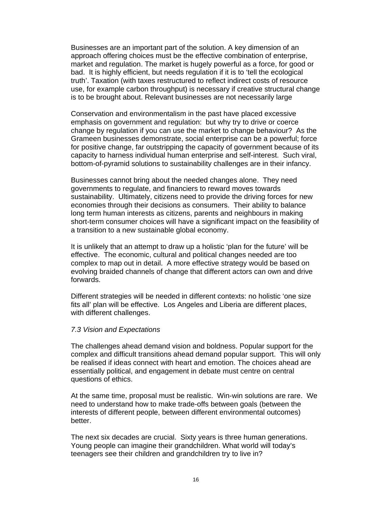Businesses are an important part of the solution. A key dimension of an approach offering choices must be the effective combination of enterprise, market and regulation. The market is hugely powerful as a force, for good or bad. It is highly efficient, but needs regulation if it is to 'tell the ecological truth'. Taxation (with taxes restructured to reflect indirect costs of resource use, for example carbon throughput) is necessary if creative structural change is to be brought about. Relevant businesses are not necessarily large

Conservation and environmentalism in the past have placed excessive emphasis on government and regulation: but why try to drive or coerce change by regulation if you can use the market to change behaviour? As the Grameen businesses demonstrate, social enterprise can be a powerful; force for positive change, far outstripping the capacity of government because of its capacity to harness individual human enterprise and self-interest. Such viral, bottom-of-pyramid solutions to sustainability challenges are in their infancy.

Businesses cannot bring about the needed changes alone. They need governments to regulate, and financiers to reward moves towards sustainability. Ultimately, citizens need to provide the driving forces for new economies through their decisions as consumers. Their ability to balance long term human interests as citizens, parents and neighbours in making short-term consumer choices will have a significant impact on the feasibility of a transition to a new sustainable global economy.

It is unlikely that an attempt to draw up a holistic 'plan for the future' will be effective. The economic, cultural and political changes needed are too complex to map out in detail. A more effective strategy would be based on evolving braided channels of change that different actors can own and drive forwards.

Different strategies will be needed in different contexts: no holistic 'one size fits all' plan will be effective. Los Angeles and Liberia are different places, with different challenges.

#### *7.3 Vision and Expectations*

The challenges ahead demand vision and boldness. Popular support for the complex and difficult transitions ahead demand popular support. This will only be realised if ideas connect with heart and emotion. The choices ahead are essentially political, and engagement in debate must centre on central questions of ethics.

At the same time, proposal must be realistic. Win-win solutions are rare. We need to understand how to make trade-offs between goals (between the interests of different people, between different environmental outcomes) better.

The next six decades are crucial. Sixty years is three human generations. Young people can imagine their grandchildren. What world will today's teenagers see their children and grandchildren try to live in?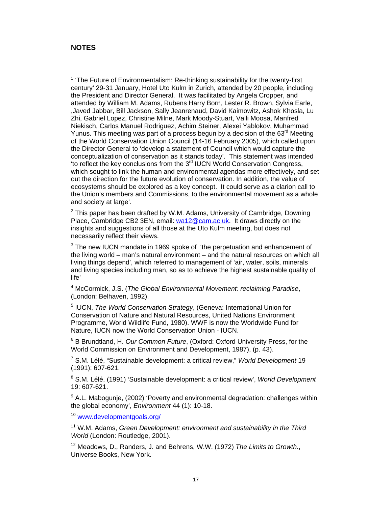# **NOTES**

 $\overline{a}$ 

<sup>1</sup> 'The Future of Environmentalism: Re-thinking sustainability for the twenty-first century' 29-31 January, Hotel Uto Kulm in Zurich, attended by 20 people, including the President and Director General. It was facilitated by Angela Cropper, and attended by William M. Adams, Rubens Harry Born, Lester R. Brown, Sylvia Earle, ,Javed Jabbar, Bill Jackson, Sally Jeanrenaud, David Kaimowitz, Ashok Khosla, Lu Zhi, Gabriel Lopez, Christine Milne, Mark Moody-Stuart, Valli Moosa, Manfred Niekisch, Carlos Manuel Rodriguez, Achim Steiner, Alexei Yablokov, Muhammad Yunus. This meeting was part of a process begun by a decision of the  $63<sup>rd</sup>$  Meeting of the World Conservation Union Council (14-16 February 2005), which called upon the Director General to 'develop a statement of Council which would capture the conceptualization of conservation as it stands today'. This statement was intended 'to reflect the key conclusions from the  $3<sup>rd</sup>$  IUCN World Conservation Congress, which sought to link the human and environmental agendas more effectively, and set out the direction for the future evolution of conservation. In addition, the value of ecosystems should be explored as a key concept. It could serve as a clarion call to the Union's members and Commissions, to the environmental movement as a whole and society at large'.

 $2$  This paper has been drafted by W.M. Adams, University of Cambridge, Downing Place, Cambridge CB2 3EN, email: wa12@cam.ac.uk. It draws directly on the insights and suggestions of all those at the Uto Kulm meeting, but does not necessarily reflect their views.

 $3$  The new IUCN mandate in 1969 spoke of 'the perpetuation and enhancement of the living world – man's natural environment – and the natural resources on which all living things depend', which referred to management of 'air, water, soils, minerals and living species including man, so as to achieve the highest sustainable quality of life'

4 McCormick, J.S. (*The Global Environmental Movement: reclaiming Paradise*, (London: Belhaven, 1992).

5 IUCN, *The World Conservation Strategy*, (Geneva: International Union for Conservation of Nature and Natural Resources, United Nations Environment Programme, World Wildlife Fund, 1980). WWF is now the Worldwide Fund for Nature, IUCN now the World Conservation Union - IUCN.

6 B Brundtland, H. *Our Common Future*, (Oxford: Oxford University Press, for the World Commission on Environment and Development, 1987), (p. 43).

7 S.M. Lélé, "Sustainable development: a critical review," *World Development* 19 (1991): 607-621.

8 S.M. Lélé, (1991) 'Sustainable development: a critical review', *World Development*  19: 607-621.

<sup>9</sup> A.L. Mabogunje, (2002) 'Poverty and environmental degradation: challenges within the global economy', *Environment* 44 (1): 10-18.

<sup>10</sup> www.developmentgoals.org/

11 W.M. Adams, *Green Development: environment and sustainability in the Third World* (London: Routledge, 2001).

12 Meadows, D., Randers, J. and Behrens, W.W. (1972) *The Limits to Growth*., Universe Books, New York.